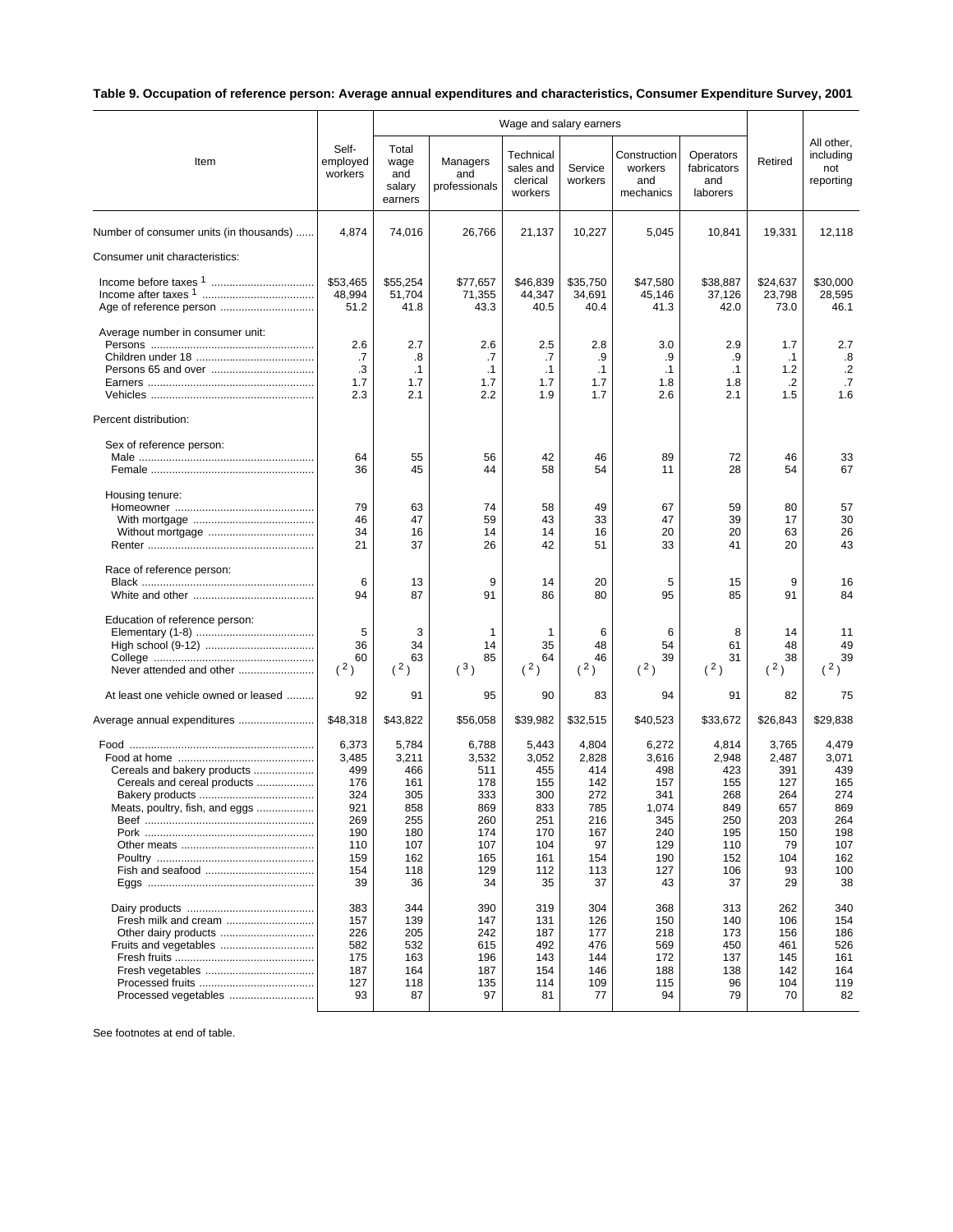## **Table 9. Occupation of reference person: Average annual expenditures and characteristics, Consumer Expenditure Survey, 2001**

| All other,<br>Self-<br>Total<br>Technical<br>including<br>Construction<br>Operators<br>employed<br>Managers<br>Retired<br>Item<br>wage<br>sales and<br>Service<br>workers<br>fabricators<br>not<br>workers<br>and<br>and<br>clerical<br>workers<br>and<br>and<br>reporting<br>salary<br>professionals<br>workers<br>mechanics<br>laborers<br>earners<br>4,874<br>Number of consumer units (in thousands)<br>74,016<br>26,766<br>21,137<br>10,227<br>5,045<br>10,841<br>19,331<br>12,118<br>Consumer unit characteristics:<br>\$53,465<br>\$55,254<br>\$77,657<br>\$46,839<br>\$35,750<br>\$47,580<br>\$38,887<br>\$24,637<br>\$30,000<br>48,994<br>51.704<br>71,355<br>44,347<br>34,691<br>45,146<br>37,126<br>23,798<br>28,595<br>51.2<br>41.8<br>43.3<br>41.3<br>42.0<br>73.0<br>46.1<br>40.5<br>40.4<br>Average number in consumer unit:<br>2.6<br>2.6<br>3.0<br>2.9<br>2.7<br>2.5<br>2.8<br>1.7<br>2.7<br>.8<br>.7<br>.8<br>.7<br>.7<br>.9<br>.9<br>.9<br>$\cdot$ 1<br>$\cdot$ .2<br>.3<br>$\cdot$ 1<br>.1<br>1.2<br>$\cdot$ 1<br>$\cdot$ 1<br>$\cdot$ 1<br>$\cdot$ 1<br>.7<br>1.7<br>1.7<br>1.7<br>1.7<br>1.7<br>1.8<br>1.8<br>.2<br>1.6<br>2.3<br>2.1<br>2.2<br>1.7<br>2.6<br>2.1<br>1.5<br>1.9<br>Percent distribution:<br>Sex of reference person:<br>64<br>55<br>56<br>42<br>89<br>72<br>46<br>46<br>33<br>45<br>44<br>58<br>11<br>28<br>67<br>36<br>54<br>54<br>Housing tenure:<br>79<br>63<br>74<br>58<br>49<br>59<br>80<br>57<br>67<br>30<br>47<br>59<br>43<br>33<br>47<br>39<br>46<br>17<br>34<br>16<br>14<br>16<br>20<br>20<br>26<br>14<br>63<br>21<br>37<br>26<br>42<br>51<br>33<br>20<br>43<br>41<br>Race of reference person:<br>13<br>9<br>14<br>20<br>9<br>6<br>5<br>15<br>16<br>94<br>87<br>91<br>80<br>95<br>85<br>91<br>84<br>86<br>Education of reference person:<br>5<br>3<br>$\mathbf{1}$<br>1<br>6<br>6<br>8<br>14<br>11<br>36<br>34<br>14<br>35<br>48<br>54<br>61<br>48<br>49<br>85<br>39<br>60<br>63<br>64<br>46<br>39<br>31<br>38<br>(3)<br>(2)<br>(2)<br>(2)<br>(2)<br>(2)<br>(2)<br>(2)<br>(2)<br>Never attended and other<br>At least one vehicle owned or leased<br>92<br>83<br>91<br>95<br>90<br>94<br>91<br>82<br>75<br>\$48,318<br>\$43,822<br>\$56,058<br>\$39,982<br>\$32,515<br>\$40,523<br>\$33,672<br>\$26,843<br>\$29,838<br>Average annual expenditures<br>6,373<br>5,784<br>4,804<br>6,272<br>4,814<br>6,788<br>5,443<br>3,765<br>4,479<br>3,485<br>3,211<br>3,052<br>2,828<br>3,616<br>2,487<br>3,071<br>3,532<br>2,948<br>Cereals and bakery products<br>499<br>466<br>511<br>414<br>498<br>423<br>391<br>439<br>455<br>Cereals and cereal products<br>176<br>161<br>178<br>155<br>142<br>157<br>155<br>127<br>165<br>324<br>305<br>272<br>274<br>333<br>300<br>341<br>268<br>264<br>921<br>858<br>869<br>833<br>785<br>1,074<br>849<br>869<br>Meats, poultry, fish, and eggs<br>657<br>269<br>255<br>260<br>251<br>216<br>345<br>250<br>203<br>264<br>240<br>190<br>180<br>174<br>170<br>167<br>195<br>150<br>198<br>110<br>107<br>107<br>104<br>97<br>129<br>110<br>79<br>107<br>159<br>162<br>165<br>154<br>190<br>152<br>162<br>161<br>104<br>113<br>100<br>154<br>118<br>129<br>112<br>127<br>106<br>93<br>39<br>36<br>35<br>37<br>37<br>29<br>38<br>34<br>43<br>383<br>344<br>390<br>319<br>304<br>368<br>313<br>262<br>340<br>Fresh milk and cream<br>157<br>139<br>147<br>131<br>126<br>150<br>140<br>154<br>106<br>Other dairy products<br>226<br>205<br>187<br>177<br>218<br>156<br>186<br>242<br>173<br>582<br>532<br>492<br>476<br>569<br>526<br>Fruits and vegetables<br>615<br>450<br>461<br>175<br>163<br>196<br>144<br>137<br>143<br>172<br>145<br>161<br>187<br>164<br>146<br>142<br>164<br>187<br>154<br>188<br>138<br>127<br>118<br>114<br>109<br>115<br>96<br>104<br>119<br>135<br>82<br>93<br>87<br>97<br>81<br>77<br>94<br>79<br>70<br>Processed vegetables |  | Wage and salary earners |  |  |  |  |  |
|---------------------------------------------------------------------------------------------------------------------------------------------------------------------------------------------------------------------------------------------------------------------------------------------------------------------------------------------------------------------------------------------------------------------------------------------------------------------------------------------------------------------------------------------------------------------------------------------------------------------------------------------------------------------------------------------------------------------------------------------------------------------------------------------------------------------------------------------------------------------------------------------------------------------------------------------------------------------------------------------------------------------------------------------------------------------------------------------------------------------------------------------------------------------------------------------------------------------------------------------------------------------------------------------------------------------------------------------------------------------------------------------------------------------------------------------------------------------------------------------------------------------------------------------------------------------------------------------------------------------------------------------------------------------------------------------------------------------------------------------------------------------------------------------------------------------------------------------------------------------------------------------------------------------------------------------------------------------------------------------------------------------------------------------------------------------------------------------------------------------------------------------------------------------------------------------------------------------------------------------------------------------------------------------------------------------------------------------------------------------------------------------------------------------------------------------------------------------------------------------------------------------------------------------------------------------------------------------------------------------------------------------------------------------------------------------------------------------------------------------------------------------------------------------------------------------------------------------------------------------------------------------------------------------------------------------------------------------------------------------------------------------------------------------------------------------------------------------------------------------------------------------------------------------------------------------------------------------------------------------------------------------------------------------------------------------------------------------------------------------------------------------------------------------------------------------------------------------------------------------------------------------------------------------------------------------------------------------------------------------------------------------------------------------------------------------------------------------------------------------------------------------------------------------------------------------------------|--|-------------------------|--|--|--|--|--|
|                                                                                                                                                                                                                                                                                                                                                                                                                                                                                                                                                                                                                                                                                                                                                                                                                                                                                                                                                                                                                                                                                                                                                                                                                                                                                                                                                                                                                                                                                                                                                                                                                                                                                                                                                                                                                                                                                                                                                                                                                                                                                                                                                                                                                                                                                                                                                                                                                                                                                                                                                                                                                                                                                                                                                                                                                                                                                                                                                                                                                                                                                                                                                                                                                                                                                                                                                                                                                                                                                                                                                                                                                                                                                                                                                                                                                                 |  |                         |  |  |  |  |  |
|                                                                                                                                                                                                                                                                                                                                                                                                                                                                                                                                                                                                                                                                                                                                                                                                                                                                                                                                                                                                                                                                                                                                                                                                                                                                                                                                                                                                                                                                                                                                                                                                                                                                                                                                                                                                                                                                                                                                                                                                                                                                                                                                                                                                                                                                                                                                                                                                                                                                                                                                                                                                                                                                                                                                                                                                                                                                                                                                                                                                                                                                                                                                                                                                                                                                                                                                                                                                                                                                                                                                                                                                                                                                                                                                                                                                                                 |  |                         |  |  |  |  |  |
|                                                                                                                                                                                                                                                                                                                                                                                                                                                                                                                                                                                                                                                                                                                                                                                                                                                                                                                                                                                                                                                                                                                                                                                                                                                                                                                                                                                                                                                                                                                                                                                                                                                                                                                                                                                                                                                                                                                                                                                                                                                                                                                                                                                                                                                                                                                                                                                                                                                                                                                                                                                                                                                                                                                                                                                                                                                                                                                                                                                                                                                                                                                                                                                                                                                                                                                                                                                                                                                                                                                                                                                                                                                                                                                                                                                                                                 |  |                         |  |  |  |  |  |
|                                                                                                                                                                                                                                                                                                                                                                                                                                                                                                                                                                                                                                                                                                                                                                                                                                                                                                                                                                                                                                                                                                                                                                                                                                                                                                                                                                                                                                                                                                                                                                                                                                                                                                                                                                                                                                                                                                                                                                                                                                                                                                                                                                                                                                                                                                                                                                                                                                                                                                                                                                                                                                                                                                                                                                                                                                                                                                                                                                                                                                                                                                                                                                                                                                                                                                                                                                                                                                                                                                                                                                                                                                                                                                                                                                                                                                 |  |                         |  |  |  |  |  |
|                                                                                                                                                                                                                                                                                                                                                                                                                                                                                                                                                                                                                                                                                                                                                                                                                                                                                                                                                                                                                                                                                                                                                                                                                                                                                                                                                                                                                                                                                                                                                                                                                                                                                                                                                                                                                                                                                                                                                                                                                                                                                                                                                                                                                                                                                                                                                                                                                                                                                                                                                                                                                                                                                                                                                                                                                                                                                                                                                                                                                                                                                                                                                                                                                                                                                                                                                                                                                                                                                                                                                                                                                                                                                                                                                                                                                                 |  |                         |  |  |  |  |  |
|                                                                                                                                                                                                                                                                                                                                                                                                                                                                                                                                                                                                                                                                                                                                                                                                                                                                                                                                                                                                                                                                                                                                                                                                                                                                                                                                                                                                                                                                                                                                                                                                                                                                                                                                                                                                                                                                                                                                                                                                                                                                                                                                                                                                                                                                                                                                                                                                                                                                                                                                                                                                                                                                                                                                                                                                                                                                                                                                                                                                                                                                                                                                                                                                                                                                                                                                                                                                                                                                                                                                                                                                                                                                                                                                                                                                                                 |  |                         |  |  |  |  |  |
|                                                                                                                                                                                                                                                                                                                                                                                                                                                                                                                                                                                                                                                                                                                                                                                                                                                                                                                                                                                                                                                                                                                                                                                                                                                                                                                                                                                                                                                                                                                                                                                                                                                                                                                                                                                                                                                                                                                                                                                                                                                                                                                                                                                                                                                                                                                                                                                                                                                                                                                                                                                                                                                                                                                                                                                                                                                                                                                                                                                                                                                                                                                                                                                                                                                                                                                                                                                                                                                                                                                                                                                                                                                                                                                                                                                                                                 |  |                         |  |  |  |  |  |
|                                                                                                                                                                                                                                                                                                                                                                                                                                                                                                                                                                                                                                                                                                                                                                                                                                                                                                                                                                                                                                                                                                                                                                                                                                                                                                                                                                                                                                                                                                                                                                                                                                                                                                                                                                                                                                                                                                                                                                                                                                                                                                                                                                                                                                                                                                                                                                                                                                                                                                                                                                                                                                                                                                                                                                                                                                                                                                                                                                                                                                                                                                                                                                                                                                                                                                                                                                                                                                                                                                                                                                                                                                                                                                                                                                                                                                 |  |                         |  |  |  |  |  |
|                                                                                                                                                                                                                                                                                                                                                                                                                                                                                                                                                                                                                                                                                                                                                                                                                                                                                                                                                                                                                                                                                                                                                                                                                                                                                                                                                                                                                                                                                                                                                                                                                                                                                                                                                                                                                                                                                                                                                                                                                                                                                                                                                                                                                                                                                                                                                                                                                                                                                                                                                                                                                                                                                                                                                                                                                                                                                                                                                                                                                                                                                                                                                                                                                                                                                                                                                                                                                                                                                                                                                                                                                                                                                                                                                                                                                                 |  |                         |  |  |  |  |  |
|                                                                                                                                                                                                                                                                                                                                                                                                                                                                                                                                                                                                                                                                                                                                                                                                                                                                                                                                                                                                                                                                                                                                                                                                                                                                                                                                                                                                                                                                                                                                                                                                                                                                                                                                                                                                                                                                                                                                                                                                                                                                                                                                                                                                                                                                                                                                                                                                                                                                                                                                                                                                                                                                                                                                                                                                                                                                                                                                                                                                                                                                                                                                                                                                                                                                                                                                                                                                                                                                                                                                                                                                                                                                                                                                                                                                                                 |  |                         |  |  |  |  |  |
|                                                                                                                                                                                                                                                                                                                                                                                                                                                                                                                                                                                                                                                                                                                                                                                                                                                                                                                                                                                                                                                                                                                                                                                                                                                                                                                                                                                                                                                                                                                                                                                                                                                                                                                                                                                                                                                                                                                                                                                                                                                                                                                                                                                                                                                                                                                                                                                                                                                                                                                                                                                                                                                                                                                                                                                                                                                                                                                                                                                                                                                                                                                                                                                                                                                                                                                                                                                                                                                                                                                                                                                                                                                                                                                                                                                                                                 |  |                         |  |  |  |  |  |
|                                                                                                                                                                                                                                                                                                                                                                                                                                                                                                                                                                                                                                                                                                                                                                                                                                                                                                                                                                                                                                                                                                                                                                                                                                                                                                                                                                                                                                                                                                                                                                                                                                                                                                                                                                                                                                                                                                                                                                                                                                                                                                                                                                                                                                                                                                                                                                                                                                                                                                                                                                                                                                                                                                                                                                                                                                                                                                                                                                                                                                                                                                                                                                                                                                                                                                                                                                                                                                                                                                                                                                                                                                                                                                                                                                                                                                 |  |                         |  |  |  |  |  |
|                                                                                                                                                                                                                                                                                                                                                                                                                                                                                                                                                                                                                                                                                                                                                                                                                                                                                                                                                                                                                                                                                                                                                                                                                                                                                                                                                                                                                                                                                                                                                                                                                                                                                                                                                                                                                                                                                                                                                                                                                                                                                                                                                                                                                                                                                                                                                                                                                                                                                                                                                                                                                                                                                                                                                                                                                                                                                                                                                                                                                                                                                                                                                                                                                                                                                                                                                                                                                                                                                                                                                                                                                                                                                                                                                                                                                                 |  |                         |  |  |  |  |  |
|                                                                                                                                                                                                                                                                                                                                                                                                                                                                                                                                                                                                                                                                                                                                                                                                                                                                                                                                                                                                                                                                                                                                                                                                                                                                                                                                                                                                                                                                                                                                                                                                                                                                                                                                                                                                                                                                                                                                                                                                                                                                                                                                                                                                                                                                                                                                                                                                                                                                                                                                                                                                                                                                                                                                                                                                                                                                                                                                                                                                                                                                                                                                                                                                                                                                                                                                                                                                                                                                                                                                                                                                                                                                                                                                                                                                                                 |  |                         |  |  |  |  |  |
|                                                                                                                                                                                                                                                                                                                                                                                                                                                                                                                                                                                                                                                                                                                                                                                                                                                                                                                                                                                                                                                                                                                                                                                                                                                                                                                                                                                                                                                                                                                                                                                                                                                                                                                                                                                                                                                                                                                                                                                                                                                                                                                                                                                                                                                                                                                                                                                                                                                                                                                                                                                                                                                                                                                                                                                                                                                                                                                                                                                                                                                                                                                                                                                                                                                                                                                                                                                                                                                                                                                                                                                                                                                                                                                                                                                                                                 |  |                         |  |  |  |  |  |
|                                                                                                                                                                                                                                                                                                                                                                                                                                                                                                                                                                                                                                                                                                                                                                                                                                                                                                                                                                                                                                                                                                                                                                                                                                                                                                                                                                                                                                                                                                                                                                                                                                                                                                                                                                                                                                                                                                                                                                                                                                                                                                                                                                                                                                                                                                                                                                                                                                                                                                                                                                                                                                                                                                                                                                                                                                                                                                                                                                                                                                                                                                                                                                                                                                                                                                                                                                                                                                                                                                                                                                                                                                                                                                                                                                                                                                 |  |                         |  |  |  |  |  |
|                                                                                                                                                                                                                                                                                                                                                                                                                                                                                                                                                                                                                                                                                                                                                                                                                                                                                                                                                                                                                                                                                                                                                                                                                                                                                                                                                                                                                                                                                                                                                                                                                                                                                                                                                                                                                                                                                                                                                                                                                                                                                                                                                                                                                                                                                                                                                                                                                                                                                                                                                                                                                                                                                                                                                                                                                                                                                                                                                                                                                                                                                                                                                                                                                                                                                                                                                                                                                                                                                                                                                                                                                                                                                                                                                                                                                                 |  |                         |  |  |  |  |  |
|                                                                                                                                                                                                                                                                                                                                                                                                                                                                                                                                                                                                                                                                                                                                                                                                                                                                                                                                                                                                                                                                                                                                                                                                                                                                                                                                                                                                                                                                                                                                                                                                                                                                                                                                                                                                                                                                                                                                                                                                                                                                                                                                                                                                                                                                                                                                                                                                                                                                                                                                                                                                                                                                                                                                                                                                                                                                                                                                                                                                                                                                                                                                                                                                                                                                                                                                                                                                                                                                                                                                                                                                                                                                                                                                                                                                                                 |  |                         |  |  |  |  |  |
|                                                                                                                                                                                                                                                                                                                                                                                                                                                                                                                                                                                                                                                                                                                                                                                                                                                                                                                                                                                                                                                                                                                                                                                                                                                                                                                                                                                                                                                                                                                                                                                                                                                                                                                                                                                                                                                                                                                                                                                                                                                                                                                                                                                                                                                                                                                                                                                                                                                                                                                                                                                                                                                                                                                                                                                                                                                                                                                                                                                                                                                                                                                                                                                                                                                                                                                                                                                                                                                                                                                                                                                                                                                                                                                                                                                                                                 |  |                         |  |  |  |  |  |
|                                                                                                                                                                                                                                                                                                                                                                                                                                                                                                                                                                                                                                                                                                                                                                                                                                                                                                                                                                                                                                                                                                                                                                                                                                                                                                                                                                                                                                                                                                                                                                                                                                                                                                                                                                                                                                                                                                                                                                                                                                                                                                                                                                                                                                                                                                                                                                                                                                                                                                                                                                                                                                                                                                                                                                                                                                                                                                                                                                                                                                                                                                                                                                                                                                                                                                                                                                                                                                                                                                                                                                                                                                                                                                                                                                                                                                 |  |                         |  |  |  |  |  |
|                                                                                                                                                                                                                                                                                                                                                                                                                                                                                                                                                                                                                                                                                                                                                                                                                                                                                                                                                                                                                                                                                                                                                                                                                                                                                                                                                                                                                                                                                                                                                                                                                                                                                                                                                                                                                                                                                                                                                                                                                                                                                                                                                                                                                                                                                                                                                                                                                                                                                                                                                                                                                                                                                                                                                                                                                                                                                                                                                                                                                                                                                                                                                                                                                                                                                                                                                                                                                                                                                                                                                                                                                                                                                                                                                                                                                                 |  |                         |  |  |  |  |  |
|                                                                                                                                                                                                                                                                                                                                                                                                                                                                                                                                                                                                                                                                                                                                                                                                                                                                                                                                                                                                                                                                                                                                                                                                                                                                                                                                                                                                                                                                                                                                                                                                                                                                                                                                                                                                                                                                                                                                                                                                                                                                                                                                                                                                                                                                                                                                                                                                                                                                                                                                                                                                                                                                                                                                                                                                                                                                                                                                                                                                                                                                                                                                                                                                                                                                                                                                                                                                                                                                                                                                                                                                                                                                                                                                                                                                                                 |  |                         |  |  |  |  |  |
|                                                                                                                                                                                                                                                                                                                                                                                                                                                                                                                                                                                                                                                                                                                                                                                                                                                                                                                                                                                                                                                                                                                                                                                                                                                                                                                                                                                                                                                                                                                                                                                                                                                                                                                                                                                                                                                                                                                                                                                                                                                                                                                                                                                                                                                                                                                                                                                                                                                                                                                                                                                                                                                                                                                                                                                                                                                                                                                                                                                                                                                                                                                                                                                                                                                                                                                                                                                                                                                                                                                                                                                                                                                                                                                                                                                                                                 |  |                         |  |  |  |  |  |
|                                                                                                                                                                                                                                                                                                                                                                                                                                                                                                                                                                                                                                                                                                                                                                                                                                                                                                                                                                                                                                                                                                                                                                                                                                                                                                                                                                                                                                                                                                                                                                                                                                                                                                                                                                                                                                                                                                                                                                                                                                                                                                                                                                                                                                                                                                                                                                                                                                                                                                                                                                                                                                                                                                                                                                                                                                                                                                                                                                                                                                                                                                                                                                                                                                                                                                                                                                                                                                                                                                                                                                                                                                                                                                                                                                                                                                 |  |                         |  |  |  |  |  |
|                                                                                                                                                                                                                                                                                                                                                                                                                                                                                                                                                                                                                                                                                                                                                                                                                                                                                                                                                                                                                                                                                                                                                                                                                                                                                                                                                                                                                                                                                                                                                                                                                                                                                                                                                                                                                                                                                                                                                                                                                                                                                                                                                                                                                                                                                                                                                                                                                                                                                                                                                                                                                                                                                                                                                                                                                                                                                                                                                                                                                                                                                                                                                                                                                                                                                                                                                                                                                                                                                                                                                                                                                                                                                                                                                                                                                                 |  |                         |  |  |  |  |  |
|                                                                                                                                                                                                                                                                                                                                                                                                                                                                                                                                                                                                                                                                                                                                                                                                                                                                                                                                                                                                                                                                                                                                                                                                                                                                                                                                                                                                                                                                                                                                                                                                                                                                                                                                                                                                                                                                                                                                                                                                                                                                                                                                                                                                                                                                                                                                                                                                                                                                                                                                                                                                                                                                                                                                                                                                                                                                                                                                                                                                                                                                                                                                                                                                                                                                                                                                                                                                                                                                                                                                                                                                                                                                                                                                                                                                                                 |  |                         |  |  |  |  |  |
|                                                                                                                                                                                                                                                                                                                                                                                                                                                                                                                                                                                                                                                                                                                                                                                                                                                                                                                                                                                                                                                                                                                                                                                                                                                                                                                                                                                                                                                                                                                                                                                                                                                                                                                                                                                                                                                                                                                                                                                                                                                                                                                                                                                                                                                                                                                                                                                                                                                                                                                                                                                                                                                                                                                                                                                                                                                                                                                                                                                                                                                                                                                                                                                                                                                                                                                                                                                                                                                                                                                                                                                                                                                                                                                                                                                                                                 |  |                         |  |  |  |  |  |
|                                                                                                                                                                                                                                                                                                                                                                                                                                                                                                                                                                                                                                                                                                                                                                                                                                                                                                                                                                                                                                                                                                                                                                                                                                                                                                                                                                                                                                                                                                                                                                                                                                                                                                                                                                                                                                                                                                                                                                                                                                                                                                                                                                                                                                                                                                                                                                                                                                                                                                                                                                                                                                                                                                                                                                                                                                                                                                                                                                                                                                                                                                                                                                                                                                                                                                                                                                                                                                                                                                                                                                                                                                                                                                                                                                                                                                 |  |                         |  |  |  |  |  |
|                                                                                                                                                                                                                                                                                                                                                                                                                                                                                                                                                                                                                                                                                                                                                                                                                                                                                                                                                                                                                                                                                                                                                                                                                                                                                                                                                                                                                                                                                                                                                                                                                                                                                                                                                                                                                                                                                                                                                                                                                                                                                                                                                                                                                                                                                                                                                                                                                                                                                                                                                                                                                                                                                                                                                                                                                                                                                                                                                                                                                                                                                                                                                                                                                                                                                                                                                                                                                                                                                                                                                                                                                                                                                                                                                                                                                                 |  |                         |  |  |  |  |  |
|                                                                                                                                                                                                                                                                                                                                                                                                                                                                                                                                                                                                                                                                                                                                                                                                                                                                                                                                                                                                                                                                                                                                                                                                                                                                                                                                                                                                                                                                                                                                                                                                                                                                                                                                                                                                                                                                                                                                                                                                                                                                                                                                                                                                                                                                                                                                                                                                                                                                                                                                                                                                                                                                                                                                                                                                                                                                                                                                                                                                                                                                                                                                                                                                                                                                                                                                                                                                                                                                                                                                                                                                                                                                                                                                                                                                                                 |  |                         |  |  |  |  |  |
|                                                                                                                                                                                                                                                                                                                                                                                                                                                                                                                                                                                                                                                                                                                                                                                                                                                                                                                                                                                                                                                                                                                                                                                                                                                                                                                                                                                                                                                                                                                                                                                                                                                                                                                                                                                                                                                                                                                                                                                                                                                                                                                                                                                                                                                                                                                                                                                                                                                                                                                                                                                                                                                                                                                                                                                                                                                                                                                                                                                                                                                                                                                                                                                                                                                                                                                                                                                                                                                                                                                                                                                                                                                                                                                                                                                                                                 |  |                         |  |  |  |  |  |
|                                                                                                                                                                                                                                                                                                                                                                                                                                                                                                                                                                                                                                                                                                                                                                                                                                                                                                                                                                                                                                                                                                                                                                                                                                                                                                                                                                                                                                                                                                                                                                                                                                                                                                                                                                                                                                                                                                                                                                                                                                                                                                                                                                                                                                                                                                                                                                                                                                                                                                                                                                                                                                                                                                                                                                                                                                                                                                                                                                                                                                                                                                                                                                                                                                                                                                                                                                                                                                                                                                                                                                                                                                                                                                                                                                                                                                 |  |                         |  |  |  |  |  |
|                                                                                                                                                                                                                                                                                                                                                                                                                                                                                                                                                                                                                                                                                                                                                                                                                                                                                                                                                                                                                                                                                                                                                                                                                                                                                                                                                                                                                                                                                                                                                                                                                                                                                                                                                                                                                                                                                                                                                                                                                                                                                                                                                                                                                                                                                                                                                                                                                                                                                                                                                                                                                                                                                                                                                                                                                                                                                                                                                                                                                                                                                                                                                                                                                                                                                                                                                                                                                                                                                                                                                                                                                                                                                                                                                                                                                                 |  |                         |  |  |  |  |  |
|                                                                                                                                                                                                                                                                                                                                                                                                                                                                                                                                                                                                                                                                                                                                                                                                                                                                                                                                                                                                                                                                                                                                                                                                                                                                                                                                                                                                                                                                                                                                                                                                                                                                                                                                                                                                                                                                                                                                                                                                                                                                                                                                                                                                                                                                                                                                                                                                                                                                                                                                                                                                                                                                                                                                                                                                                                                                                                                                                                                                                                                                                                                                                                                                                                                                                                                                                                                                                                                                                                                                                                                                                                                                                                                                                                                                                                 |  |                         |  |  |  |  |  |
|                                                                                                                                                                                                                                                                                                                                                                                                                                                                                                                                                                                                                                                                                                                                                                                                                                                                                                                                                                                                                                                                                                                                                                                                                                                                                                                                                                                                                                                                                                                                                                                                                                                                                                                                                                                                                                                                                                                                                                                                                                                                                                                                                                                                                                                                                                                                                                                                                                                                                                                                                                                                                                                                                                                                                                                                                                                                                                                                                                                                                                                                                                                                                                                                                                                                                                                                                                                                                                                                                                                                                                                                                                                                                                                                                                                                                                 |  |                         |  |  |  |  |  |
|                                                                                                                                                                                                                                                                                                                                                                                                                                                                                                                                                                                                                                                                                                                                                                                                                                                                                                                                                                                                                                                                                                                                                                                                                                                                                                                                                                                                                                                                                                                                                                                                                                                                                                                                                                                                                                                                                                                                                                                                                                                                                                                                                                                                                                                                                                                                                                                                                                                                                                                                                                                                                                                                                                                                                                                                                                                                                                                                                                                                                                                                                                                                                                                                                                                                                                                                                                                                                                                                                                                                                                                                                                                                                                                                                                                                                                 |  |                         |  |  |  |  |  |
|                                                                                                                                                                                                                                                                                                                                                                                                                                                                                                                                                                                                                                                                                                                                                                                                                                                                                                                                                                                                                                                                                                                                                                                                                                                                                                                                                                                                                                                                                                                                                                                                                                                                                                                                                                                                                                                                                                                                                                                                                                                                                                                                                                                                                                                                                                                                                                                                                                                                                                                                                                                                                                                                                                                                                                                                                                                                                                                                                                                                                                                                                                                                                                                                                                                                                                                                                                                                                                                                                                                                                                                                                                                                                                                                                                                                                                 |  |                         |  |  |  |  |  |
|                                                                                                                                                                                                                                                                                                                                                                                                                                                                                                                                                                                                                                                                                                                                                                                                                                                                                                                                                                                                                                                                                                                                                                                                                                                                                                                                                                                                                                                                                                                                                                                                                                                                                                                                                                                                                                                                                                                                                                                                                                                                                                                                                                                                                                                                                                                                                                                                                                                                                                                                                                                                                                                                                                                                                                                                                                                                                                                                                                                                                                                                                                                                                                                                                                                                                                                                                                                                                                                                                                                                                                                                                                                                                                                                                                                                                                 |  |                         |  |  |  |  |  |
|                                                                                                                                                                                                                                                                                                                                                                                                                                                                                                                                                                                                                                                                                                                                                                                                                                                                                                                                                                                                                                                                                                                                                                                                                                                                                                                                                                                                                                                                                                                                                                                                                                                                                                                                                                                                                                                                                                                                                                                                                                                                                                                                                                                                                                                                                                                                                                                                                                                                                                                                                                                                                                                                                                                                                                                                                                                                                                                                                                                                                                                                                                                                                                                                                                                                                                                                                                                                                                                                                                                                                                                                                                                                                                                                                                                                                                 |  |                         |  |  |  |  |  |
|                                                                                                                                                                                                                                                                                                                                                                                                                                                                                                                                                                                                                                                                                                                                                                                                                                                                                                                                                                                                                                                                                                                                                                                                                                                                                                                                                                                                                                                                                                                                                                                                                                                                                                                                                                                                                                                                                                                                                                                                                                                                                                                                                                                                                                                                                                                                                                                                                                                                                                                                                                                                                                                                                                                                                                                                                                                                                                                                                                                                                                                                                                                                                                                                                                                                                                                                                                                                                                                                                                                                                                                                                                                                                                                                                                                                                                 |  |                         |  |  |  |  |  |
|                                                                                                                                                                                                                                                                                                                                                                                                                                                                                                                                                                                                                                                                                                                                                                                                                                                                                                                                                                                                                                                                                                                                                                                                                                                                                                                                                                                                                                                                                                                                                                                                                                                                                                                                                                                                                                                                                                                                                                                                                                                                                                                                                                                                                                                                                                                                                                                                                                                                                                                                                                                                                                                                                                                                                                                                                                                                                                                                                                                                                                                                                                                                                                                                                                                                                                                                                                                                                                                                                                                                                                                                                                                                                                                                                                                                                                 |  |                         |  |  |  |  |  |
|                                                                                                                                                                                                                                                                                                                                                                                                                                                                                                                                                                                                                                                                                                                                                                                                                                                                                                                                                                                                                                                                                                                                                                                                                                                                                                                                                                                                                                                                                                                                                                                                                                                                                                                                                                                                                                                                                                                                                                                                                                                                                                                                                                                                                                                                                                                                                                                                                                                                                                                                                                                                                                                                                                                                                                                                                                                                                                                                                                                                                                                                                                                                                                                                                                                                                                                                                                                                                                                                                                                                                                                                                                                                                                                                                                                                                                 |  |                         |  |  |  |  |  |

See footnotes at end of table.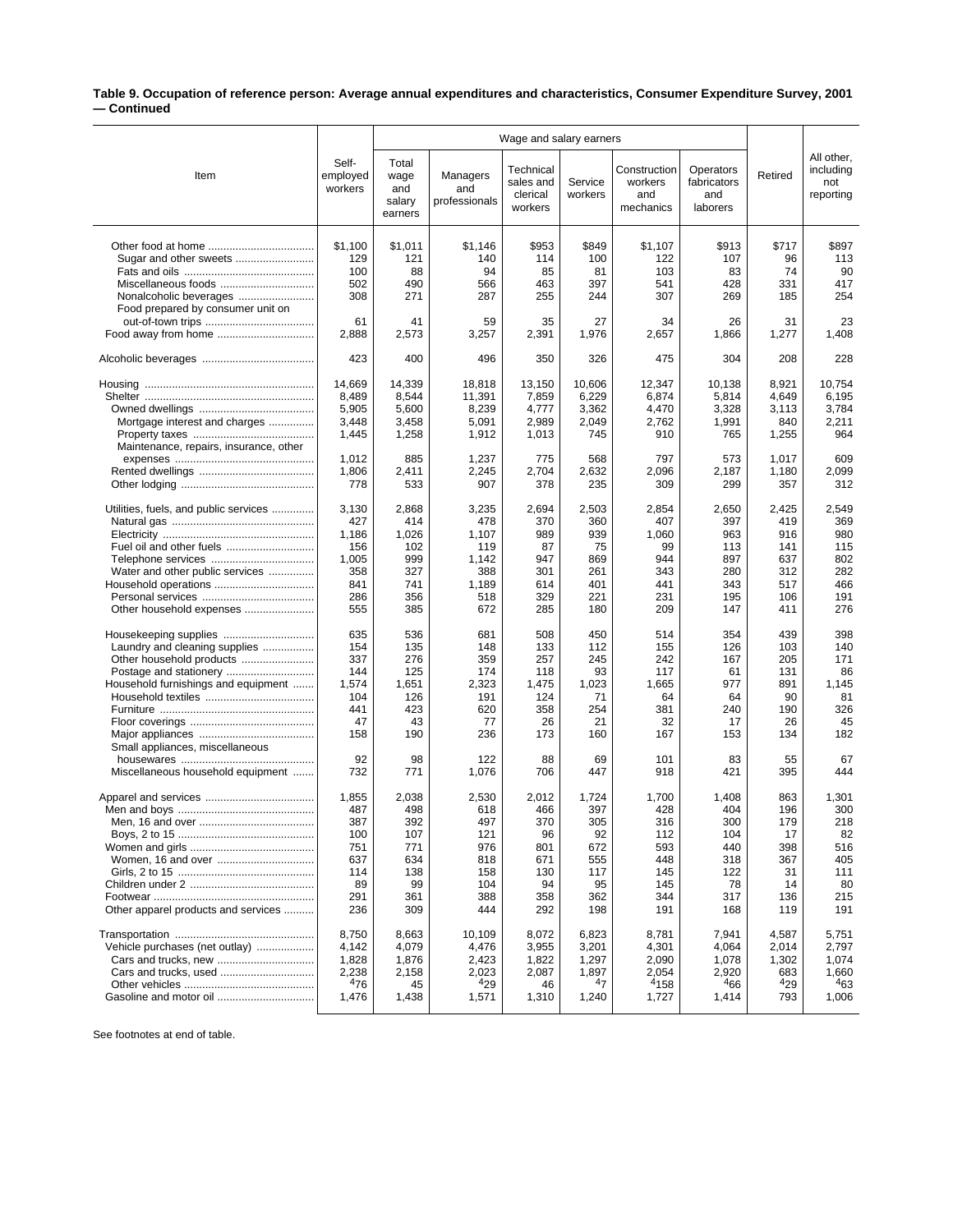## **Table 9. Occupation of reference person: Average annual expenditures and characteristics, Consumer Expenditure Survey, 2001 — Continued**

|                                        |                              | Wage and salary earners                   |                                  |                                               |                    |                                             |                                             |              |                                             |
|----------------------------------------|------------------------------|-------------------------------------------|----------------------------------|-----------------------------------------------|--------------------|---------------------------------------------|---------------------------------------------|--------------|---------------------------------------------|
| Item                                   | Self-<br>employed<br>workers | Total<br>wage<br>and<br>salarv<br>earners | Managers<br>and<br>professionals | Technical<br>sales and<br>clerical<br>workers | Service<br>workers | Construction<br>workers<br>and<br>mechanics | Operators<br>fabricators<br>and<br>laborers | Retired      | All other,<br>including<br>not<br>reporting |
|                                        | \$1,100                      | \$1,011                                   | \$1,146                          | \$953                                         | \$849              | \$1,107                                     | \$913                                       | \$717        | \$897                                       |
| Sugar and other sweets                 | 129                          | 121                                       | 140                              | 114                                           | 100                | 122                                         | 107                                         | 96           | 113                                         |
|                                        | 100                          | 88                                        | 94                               | 85                                            | 81                 | 103                                         | 83                                          | 74           | 90                                          |
| Miscellaneous foods                    | 502                          | 490                                       | 566                              | 463                                           | 397                | 541                                         | 428                                         | 331          | 417                                         |
| Nonalcoholic beverages                 | 308                          | 271                                       | 287                              | 255                                           | 244                | 307                                         | 269                                         | 185          | 254                                         |
| Food prepared by consumer unit on      |                              |                                           |                                  |                                               |                    |                                             |                                             |              |                                             |
|                                        | 61<br>2,888                  | 41                                        | 59                               | 35                                            | 27                 | 34                                          | 26                                          | 31           | 23<br>1,408                                 |
|                                        |                              | 2,573                                     | 3,257                            | 2,391                                         | 1,976              | 2,657                                       | 1,866                                       | 1,277        |                                             |
|                                        | 423                          | 400                                       | 496                              | 350                                           | 326                | 475                                         | 304                                         | 208          | 228                                         |
|                                        | 14,669                       | 14,339                                    | 18,818                           | 13,150                                        | 10,606             | 12,347                                      | 10,138                                      | 8,921        | 10,754                                      |
|                                        | 8,489                        | 8,544                                     | 11,391                           | 7,859                                         | 6,229              | 6,874                                       | 5,814                                       | 4,649        | 6,195                                       |
|                                        | 5,905                        | 5,600                                     | 8,239                            | 4,777                                         | 3,362              | 4,470                                       | 3,328                                       | 3,113        | 3,784                                       |
| Mortgage interest and charges          | 3,448                        | 3,458                                     | 5,091                            | 2,989                                         | 2,049              | 2,762                                       | 1,991                                       | 840          | 2,211                                       |
| Maintenance, repairs, insurance, other | 1,445                        | 1,258                                     | 1,912                            | 1,013                                         | 745                | 910                                         | 765                                         | 1,255        | 964                                         |
|                                        | 1,012                        | 885                                       | 1,237                            | 775                                           | 568                | 797                                         | 573                                         | 1,017        | 609                                         |
|                                        | 1,806                        | 2,411                                     | 2,245                            | 2,704                                         | 2,632              | 2,096                                       | 2,187                                       | 1,180        | 2,099                                       |
|                                        | 778                          | 533                                       | 907                              | 378                                           | 235                | 309                                         | 299                                         | 357          | 312                                         |
|                                        |                              |                                           |                                  |                                               |                    |                                             |                                             |              |                                             |
| Utilities, fuels, and public services  | 3,130<br>427                 | 2,868<br>414                              | 3,235<br>478                     | 2,694<br>370                                  | 2,503<br>360       | 2,854<br>407                                | 2,650<br>397                                | 2,425<br>419 | 2,549<br>369                                |
|                                        | 1,186                        | 1,026                                     | 1,107                            | 989                                           | 939                | 1,060                                       | 963                                         | 916          | 980                                         |
|                                        | 156                          | 102                                       | 119                              | 87                                            | 75                 | 99                                          | 113                                         | 141          | 115                                         |
| Telephone services                     | 1,005                        | 999                                       | 1,142                            | 947                                           | 869                | 944                                         | 897                                         | 637          | 802                                         |
| Water and other public services        | 358                          | 327                                       | 388                              | 301                                           | 261                | 343                                         | 280                                         | 312          | 282                                         |
|                                        | 841                          | 741                                       | 1,189                            | 614                                           | 401                | 441                                         | 343                                         | 517          | 466                                         |
|                                        | 286                          | 356                                       | 518                              | 329                                           | 221                | 231                                         | 195                                         | 106          | 191                                         |
| Other household expenses               | 555                          | 385                                       | 672                              | 285                                           | 180                | 209                                         | 147                                         | 411          | 276                                         |
|                                        | 635                          | 536                                       | 681                              | 508                                           | 450                | 514                                         | 354                                         | 439          | 398                                         |
| Laundry and cleaning supplies          | 154                          | 135                                       | 148                              | 133                                           | 112                | 155                                         | 126                                         | 103          | 140                                         |
| Other household products               | 337                          | 276                                       | 359                              | 257                                           | 245                | 242                                         | 167                                         | 205          | 171                                         |
|                                        | 144                          | 125                                       | 174                              | 118                                           | 93                 | 117                                         | 61                                          | 131          | 86                                          |
| Household furnishings and equipment    | 1,574<br>104                 | 1,651<br>126                              | 2,323<br>191                     | 1,475<br>124                                  | 1,023<br>71        | 1,665<br>64                                 | 977<br>64                                   | 891<br>90    | 1,145<br>81                                 |
|                                        | 441                          | 423                                       | 620                              | 358                                           | 254                | 381                                         | 240                                         | 190          | 326                                         |
|                                        | 47                           | 43                                        | 77                               | 26                                            | 21                 | 32                                          | 17                                          | 26           | 45                                          |
|                                        | 158                          | 190                                       | 236                              | 173                                           | 160                | 167                                         | 153                                         | 134          | 182                                         |
| Small appliances, miscellaneous        |                              |                                           |                                  |                                               |                    |                                             |                                             |              |                                             |
|                                        | 92<br>732                    | 98<br>771                                 | 122                              | 88                                            | 69<br>447          | 101<br>918                                  | 83                                          | 55           | 67<br>444                                   |
| Miscellaneous household equipment      |                              |                                           | 1,076                            | 706                                           |                    |                                             | 421                                         | 395          |                                             |
|                                        | 1,855                        | 2,038                                     | 2,530                            | 2,012                                         | 1,724              | 1,700                                       | 1,408                                       | 863          | 1,301                                       |
|                                        | 487                          | 498                                       | 618                              | 466                                           | 397                | 428                                         | 404                                         | 196          | 300                                         |
|                                        | 387                          | 392                                       | 497                              | 370                                           | 305                | 316                                         | 300                                         | 179          | 218                                         |
|                                        | 100                          | 107                                       | 121                              | 96                                            | 92                 | 112                                         | 104                                         | 17           | 82                                          |
|                                        | 751                          | 771<br>634                                | 976                              | 801                                           | 672                | 593<br>448                                  | 440                                         | 398          | 516<br>405                                  |
|                                        | 637<br>114                   | 138                                       | 818<br>158                       | 671<br>130                                    | 555<br>117         | 145                                         | 318<br>122                                  | 367<br>31    | 111                                         |
|                                        | 89                           | 99                                        | 104                              | 94                                            | 95                 | 145                                         | 78                                          | 14           | 80                                          |
|                                        | 291                          | 361                                       | 388                              | 358                                           | 362                | 344                                         | 317                                         | 136          | 215                                         |
| Other apparel products and services    | 236                          | 309                                       | 444                              | 292                                           | 198                | 191                                         | 168                                         | 119          | 191                                         |
|                                        | 8,750                        | 8,663                                     | 10,109                           | 8,072                                         | 6,823              | 8,781                                       | 7,941                                       | 4,587        | 5,751                                       |
| Vehicle purchases (net outlay)         | 4,142                        | 4,079                                     | 4,476                            | 3,955                                         | 3,201              | 4,301                                       | 4,064                                       | 2,014        | 2,797                                       |
|                                        | 1,828                        | 1,876                                     | 2,423                            | 1,822                                         | 1,297              | 2,090                                       | 1,078                                       | 1,302        | 1,074                                       |
|                                        | 2,238                        | 2,158                                     | 2,023                            | 2,087                                         | 1,897              | 2,054                                       | 2,920                                       | 683          | 1,660                                       |
|                                        | 476                          | 45                                        | 429                              | 46                                            | 4 <sub>7</sub>     | <sup>4</sup> 158                            | 466                                         | 429          | 463                                         |
| Gasoline and motor oil                 | 1,476                        | 1,438                                     | 1,571                            | 1,310                                         | 1,240              | 1,727                                       | 1,414                                       | 793          | 1,006                                       |

See footnotes at end of table.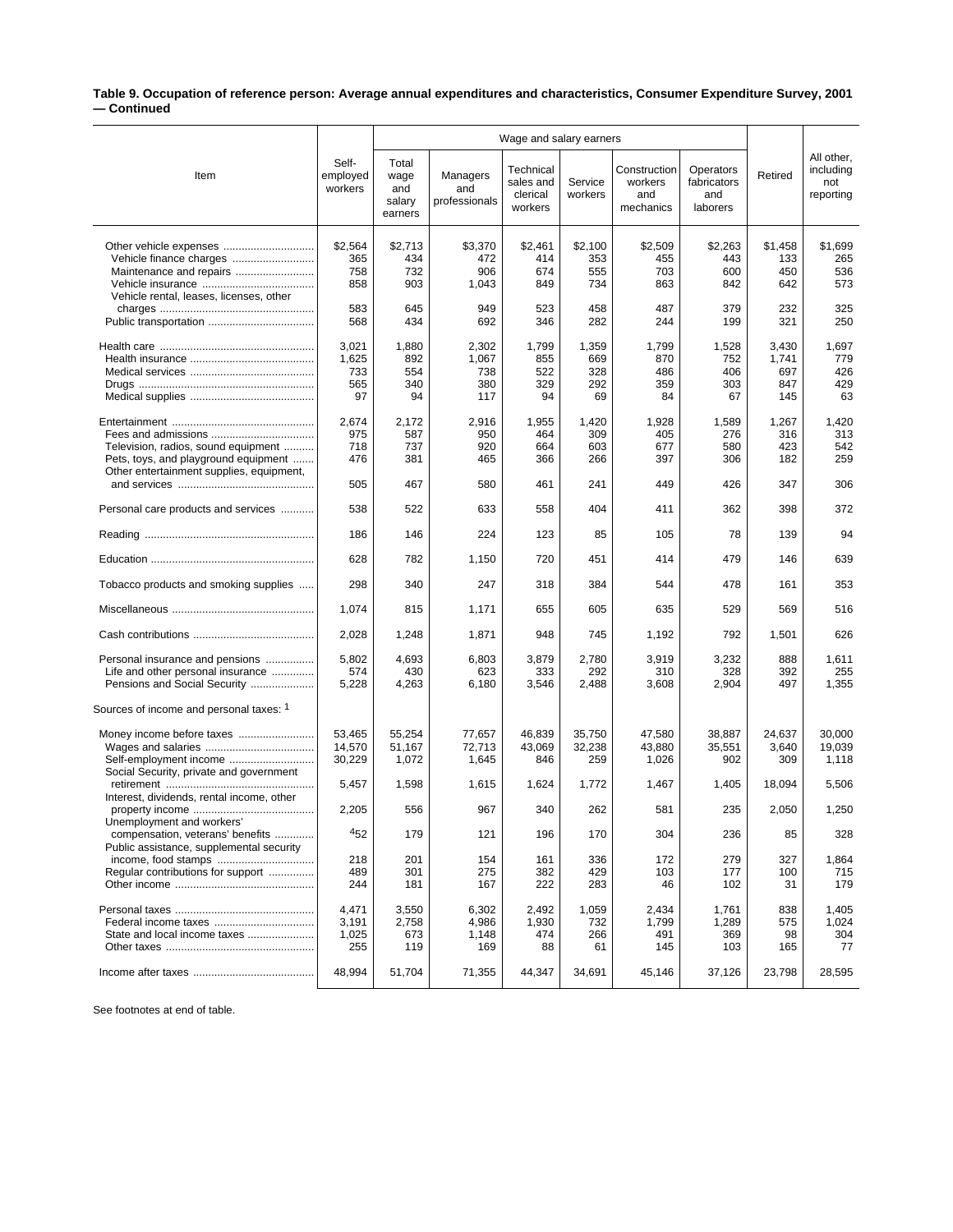## **Table 9. Occupation of reference person: Average annual expenditures and characteristics, Consumer Expenditure Survey, 2001 — Continued**

|                                                                 |                              | Wage and salary earners                   |                                  |                                               |                    |                                             |                                             |                |                                             |
|-----------------------------------------------------------------|------------------------------|-------------------------------------------|----------------------------------|-----------------------------------------------|--------------------|---------------------------------------------|---------------------------------------------|----------------|---------------------------------------------|
| Item                                                            | Self-<br>employed<br>workers | Total<br>wage<br>and<br>salary<br>earners | Managers<br>and<br>professionals | Technical<br>sales and<br>clerical<br>workers | Service<br>workers | Construction<br>workers<br>and<br>mechanics | Operators<br>fabricators<br>and<br>laborers | Retired        | All other,<br>including<br>not<br>reporting |
|                                                                 |                              |                                           |                                  |                                               |                    |                                             |                                             |                |                                             |
|                                                                 | \$2,564<br>365               | \$2,713<br>434                            | \$3,370<br>472                   | \$2,461<br>414                                | \$2,100<br>353     | \$2,509<br>455                              | \$2,263<br>443                              | \$1,458<br>133 | \$1,699<br>265                              |
| Maintenance and repairs                                         | 758                          | 732                                       | 906                              | 674                                           | 555                | 703                                         | 600                                         | 450            | 536                                         |
|                                                                 | 858                          | 903                                       | 1,043                            | 849                                           | 734                | 863                                         | 842                                         | 642            | 573                                         |
| Vehicle rental, leases, licenses, other                         | 583                          | 645                                       | 949                              | 523                                           | 458                | 487                                         | 379                                         | 232            | 325                                         |
|                                                                 | 568                          | 434                                       | 692                              | 346                                           | 282                | 244                                         | 199                                         | 321            | 250                                         |
|                                                                 |                              |                                           |                                  |                                               |                    |                                             |                                             |                |                                             |
|                                                                 | 3,021                        | 1,880                                     | 2,302                            | 1,799                                         | 1,359              | 1,799                                       | 1,528                                       | 3,430          | 1,697                                       |
|                                                                 | 1,625                        | 892                                       | 1,067                            | 855                                           | 669                | 870                                         | 752                                         | 1,741          | 779                                         |
|                                                                 | 733<br>565                   | 554<br>340                                | 738<br>380                       | 522<br>329                                    | 328<br>292         | 486<br>359                                  | 406<br>303                                  | 697<br>847     | 426<br>429                                  |
|                                                                 | 97                           | 94                                        | 117                              | 94                                            | 69                 | 84                                          | 67                                          | 145            | 63                                          |
|                                                                 |                              |                                           |                                  |                                               |                    |                                             |                                             |                |                                             |
|                                                                 | 2,674                        | 2,172                                     | 2,916                            | 1,955                                         | 1,420              | 1,928                                       | 1,589                                       | 1,267          | 1,420                                       |
| Television, radios, sound equipment                             | 975<br>718                   | 587<br>737                                | 950<br>920                       | 464<br>664                                    | 309<br>603         | 405<br>677                                  | 276<br>580                                  | 316<br>423     | 313<br>542                                  |
| Pets, toys, and playground equipment                            | 476                          | 381                                       | 465                              | 366                                           | 266                | 397                                         | 306                                         | 182            | 259                                         |
| Other entertainment supplies, equipment,                        |                              |                                           |                                  |                                               |                    |                                             |                                             |                |                                             |
|                                                                 | 505                          | 467                                       | 580                              | 461                                           | 241                | 449                                         | 426                                         | 347            | 306                                         |
| Personal care products and services                             | 538                          | 522                                       | 633                              | 558                                           | 404                | 411                                         | 362                                         | 398            | 372                                         |
|                                                                 | 186                          | 146                                       | 224                              | 123                                           | 85                 | 105                                         | 78                                          | 139            | 94                                          |
|                                                                 | 628                          | 782                                       | 1,150                            | 720                                           | 451                | 414                                         | 479                                         | 146            | 639                                         |
| Tobacco products and smoking supplies                           | 298                          | 340                                       | 247                              | 318                                           | 384                | 544                                         | 478                                         | 161            | 353                                         |
|                                                                 | 1,074                        | 815                                       | 1,171                            | 655                                           | 605                | 635                                         | 529                                         | 569            | 516                                         |
|                                                                 | 2,028                        | 1,248                                     | 1,871                            | 948                                           | 745                | 1,192                                       | 792                                         | 1,501          | 626                                         |
| Personal insurance and pensions                                 | 5,802                        | 4,693                                     | 6,803                            | 3,879                                         | 2,780              | 3,919                                       | 3,232                                       | 888            | 1,611                                       |
| Life and other personal insurance                               | 574                          | 430                                       | 623                              | 333                                           | 292                | 310                                         | 328                                         | 392            | 255                                         |
| Pensions and Social Security                                    | 5,228                        | 4,263                                     | 6,180                            | 3,546                                         | 2,488              | 3,608                                       | 2,904                                       | 497            | 1,355                                       |
| Sources of income and personal taxes: 1                         |                              |                                           |                                  |                                               |                    |                                             |                                             |                |                                             |
|                                                                 | 53,465                       | 55,254                                    | 77,657                           | 46,839                                        | 35,750             | 47,580                                      | 38,887                                      | 24,637         | 30,000                                      |
|                                                                 | 14,570                       | 51,167                                    | 72,713                           | 43,069                                        | 32,238             | 43,880                                      | 35,551                                      | 3,640          | 19,039                                      |
|                                                                 | 30,229                       | 1,072                                     | 1,645                            | 846                                           | 259                | 1,026                                       | 902                                         | 309            | 1,118                                       |
| Social Security, private and government                         | 5,457                        | 1,598                                     | 1,615                            | 1,624                                         | 1,772              | 1,467                                       | 1,405                                       | 18,094         | 5,506                                       |
| Interest, dividends, rental income, other                       |                              |                                           |                                  |                                               |                    |                                             |                                             |                |                                             |
|                                                                 | 2,205                        | 556                                       | 967                              | 340                                           | 262                | 581                                         | 235                                         | 2,050          | 1,250                                       |
| Unemployment and workers'                                       |                              |                                           |                                  |                                               |                    |                                             |                                             |                |                                             |
| compensation, veterans' benefits                                | 452                          | 179                                       | 121                              | 196                                           | 170                | 304                                         | 236                                         | 85             | 328                                         |
| Public assistance, supplemental security<br>income, food stamps | 218                          | 201                                       | 154                              | 161                                           | 336                | 172                                         | 279                                         | 327            | 1,864                                       |
| Regular contributions for support                               | 489                          | 301                                       | 275                              | 382                                           | 429                | 103                                         | 177                                         | 100            | 715                                         |
|                                                                 | 244                          | 181                                       | 167                              | 222                                           | 283                | 46                                          | 102                                         | 31             | 179                                         |
|                                                                 |                              |                                           |                                  |                                               |                    |                                             |                                             |                |                                             |
|                                                                 | 4,471<br>3,191               | 3,550<br>2,758                            | 6,302<br>4,986                   | 2,492<br>1,930                                | 1,059<br>732       | 2,434<br>1,799                              | 1,761<br>1,289                              | 838<br>575     | 1,405<br>1,024                              |
| State and local income taxes                                    | 1,025                        | 673                                       | 1,148                            | 474                                           | 266                | 491                                         | 369                                         | 98             | 304                                         |
|                                                                 | 255                          | 119                                       | 169                              | 88                                            | 61                 | 145                                         | 103                                         | 165            | 77                                          |
|                                                                 | 48,994                       | 51,704                                    | 71,355                           | 44,347                                        | 34,691             | 45,146                                      | 37,126                                      | 23,798         | 28,595                                      |
|                                                                 |                              |                                           |                                  |                                               |                    |                                             |                                             |                |                                             |

See footnotes at end of table.